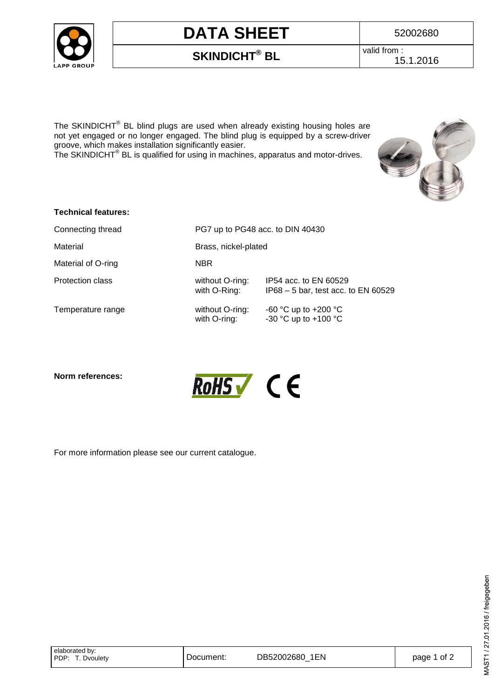

# **DATA SHEET** 52002680

### **SKINDICHT® BL** valid from :

15.1.2016

The SKINDICHT<sup>®</sup> BL blind plugs are used when already existing housing holes are not yet engaged or no longer engaged. The blind plug is equipped by a screw-driver groove, which makes installation significantly easier.

The SKINDICHT<sup>®</sup> BL is qualified for using in machines, apparatus and motor-drives.



| <b>Technical features:</b> |                                  |                       |  |
|----------------------------|----------------------------------|-----------------------|--|
| Connecting thread          | PG7 up to PG48 acc. to DIN 40430 |                       |  |
| Material                   | Brass, nickel-plated             |                       |  |
| Material of O-ring         | <b>NBR</b>                       |                       |  |
| Protection class           | without O-ring:                  | IP54 acc. to EN 60529 |  |

Temperature range with  $\sim$ 

| NBR             |                                     |
|-----------------|-------------------------------------|
| without O-ring: | IP54 acc. to EN 60529               |
| with O-Ring:    | IP68 - 5 bar, test acc. to EN 60529 |
| without O-ring: | -60 °C up to +200 °C                |
| with O-ring:    | -30 °C up to +100 °C                |

**Norm references:** 



For more information please see our current catalogue.